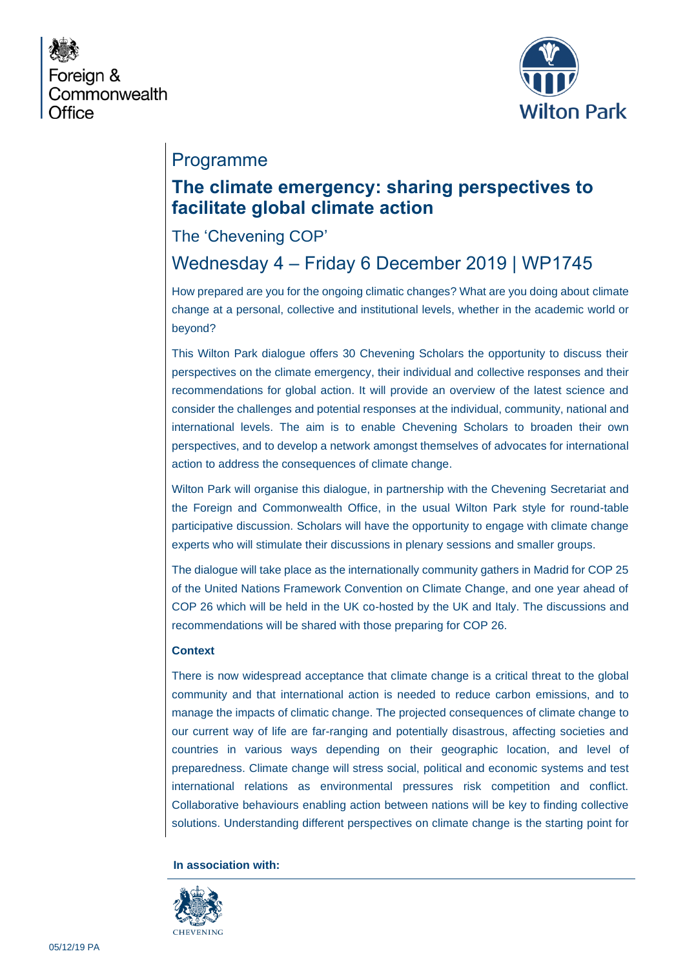



## Programme

## **The climate emergency: sharing perspectives to facilitate global climate action**

### The 'Chevening COP'

# Wednesday 4 – Friday 6 December 2019 | WP1745

How prepared are you for the ongoing climatic changes? What are you doing about climate change at a personal, collective and institutional levels, whether in the academic world or beyond?

This Wilton Park dialogue offers 30 Chevening Scholars the opportunity to discuss their perspectives on the climate emergency, their individual and collective responses and their recommendations for global action. It will provide an overview of the latest science and consider the challenges and potential responses at the individual, community, national and international levels. The aim is to enable Chevening Scholars to broaden their own perspectives, and to develop a network amongst themselves of advocates for international action to address the consequences of climate change.

Wilton Park will organise this dialogue, in partnership with the Chevening Secretariat and the Foreign and Commonwealth Office, in the usual Wilton Park style for round-table participative discussion. Scholars will have the opportunity to engage with climate change experts who will stimulate their discussions in plenary sessions and smaller groups.

The dialogue will take place as the internationally community gathers in Madrid for COP 25 of the United Nations Framework Convention on Climate Change, and one year ahead of COP 26 which will be held in the UK co-hosted by the UK and Italy. The discussions and recommendations will be shared with those preparing for COP 26.

#### **Context**

There is now widespread acceptance that climate change is a critical threat to the global community and that international action is needed to reduce carbon emissions, and to manage the impacts of climatic change. The projected consequences of climate change to our current way of life are far-ranging and potentially disastrous, affecting societies and countries in various ways depending on their geographic location, and level of preparedness. Climate change will stress social, political and economic systems and test international relations as environmental pressures risk competition and conflict. Collaborative behaviours enabling action between nations will be key to finding collective solutions. Understanding different perspectives on climate change is the starting point for

#### **In association with:**

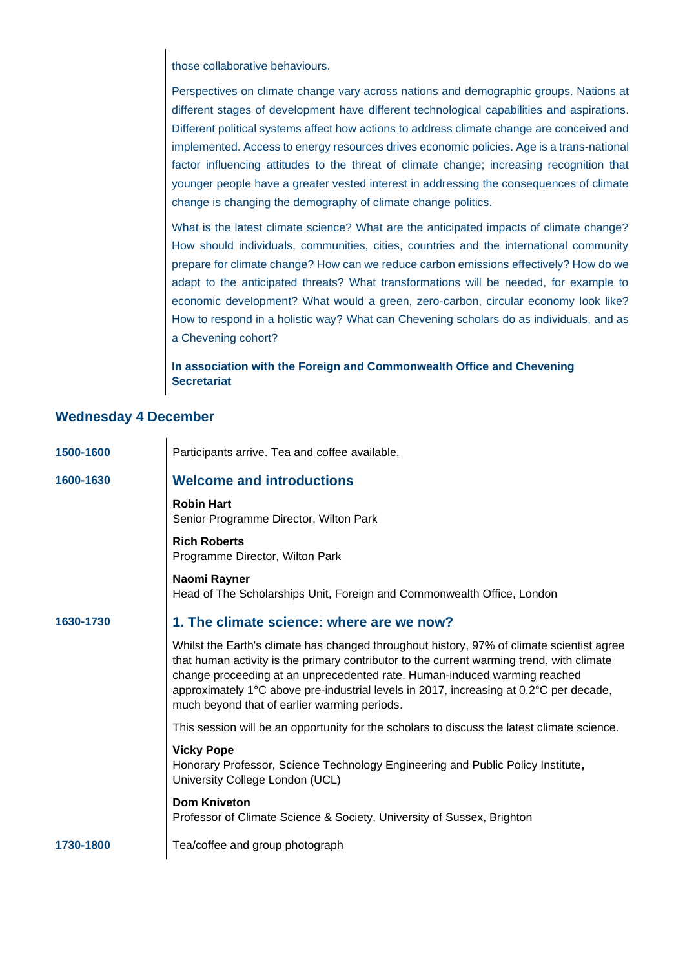those collaborative behaviours.

Perspectives on climate change vary across nations and demographic groups. Nations at different stages of development have different technological capabilities and aspirations. Different political systems affect how actions to address climate change are conceived and implemented. Access to energy resources drives economic policies. Age is a trans-national factor influencing attitudes to the threat of climate change; increasing recognition that younger people have a greater vested interest in addressing the consequences of climate change is changing the demography of climate change politics.

What is the latest climate science? What are the anticipated impacts of climate change? How should individuals, communities, cities, countries and the international community prepare for climate change? How can we reduce carbon emissions effectively? How do we adapt to the anticipated threats? What transformations will be needed, for example to economic development? What would a green, zero-carbon, circular economy look like? How to respond in a holistic way? What can Chevening scholars do as individuals, and as a Chevening cohort?

**In association with the Foreign and Commonwealth Office and Chevening Secretariat**

#### **Wednesday 4 December**

 $\overline{1}$ 

| 1500-1600 | Participants arrive. Tea and coffee available.                                                                                                                                                                                                                                                                                                                                                                |
|-----------|---------------------------------------------------------------------------------------------------------------------------------------------------------------------------------------------------------------------------------------------------------------------------------------------------------------------------------------------------------------------------------------------------------------|
| 1600-1630 | <b>Welcome and introductions</b>                                                                                                                                                                                                                                                                                                                                                                              |
|           | <b>Robin Hart</b><br>Senior Programme Director, Wilton Park                                                                                                                                                                                                                                                                                                                                                   |
|           | <b>Rich Roberts</b><br>Programme Director, Wilton Park                                                                                                                                                                                                                                                                                                                                                        |
|           | Naomi Rayner<br>Head of The Scholarships Unit, Foreign and Commonwealth Office, London                                                                                                                                                                                                                                                                                                                        |
| 1630-1730 | 1. The climate science: where are we now?                                                                                                                                                                                                                                                                                                                                                                     |
|           | Whilst the Earth's climate has changed throughout history, 97% of climate scientist agree<br>that human activity is the primary contributor to the current warming trend, with climate<br>change proceeding at an unprecedented rate. Human-induced warming reached<br>approximately 1°C above pre-industrial levels in 2017, increasing at 0.2°C per decade,<br>much beyond that of earlier warming periods. |
|           | This session will be an opportunity for the scholars to discuss the latest climate science.                                                                                                                                                                                                                                                                                                                   |
|           | <b>Vicky Pope</b><br>Honorary Professor, Science Technology Engineering and Public Policy Institute,<br>University College London (UCL)                                                                                                                                                                                                                                                                       |
|           | <b>Dom Kniveton</b><br>Professor of Climate Science & Society, University of Sussex, Brighton                                                                                                                                                                                                                                                                                                                 |
| 1730-1800 | Tea/coffee and group photograph                                                                                                                                                                                                                                                                                                                                                                               |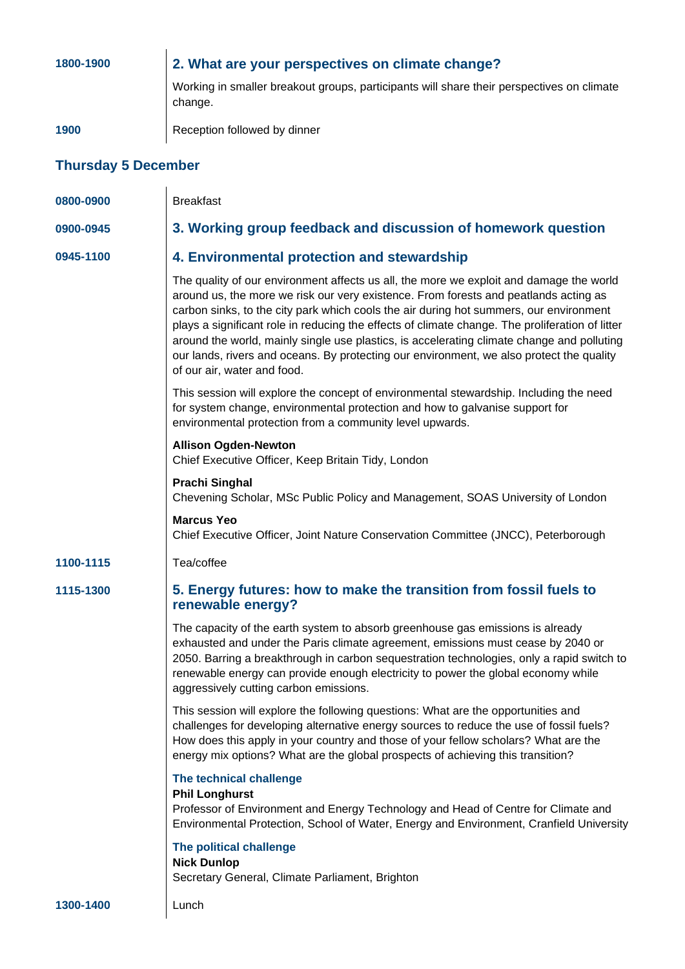| 1800-1900                  | 2. What are your perspectives on climate change?                                                                                                                                                                                                                                                                                                                                                                                                                                                                                                                                                      |  |  |
|----------------------------|-------------------------------------------------------------------------------------------------------------------------------------------------------------------------------------------------------------------------------------------------------------------------------------------------------------------------------------------------------------------------------------------------------------------------------------------------------------------------------------------------------------------------------------------------------------------------------------------------------|--|--|
|                            | Working in smaller breakout groups, participants will share their perspectives on climate<br>change.                                                                                                                                                                                                                                                                                                                                                                                                                                                                                                  |  |  |
| 1900                       | Reception followed by dinner                                                                                                                                                                                                                                                                                                                                                                                                                                                                                                                                                                          |  |  |
| <b>Thursday 5 December</b> |                                                                                                                                                                                                                                                                                                                                                                                                                                                                                                                                                                                                       |  |  |
| 0800-0900                  | <b>Breakfast</b>                                                                                                                                                                                                                                                                                                                                                                                                                                                                                                                                                                                      |  |  |
| 0900-0945                  | 3. Working group feedback and discussion of homework question                                                                                                                                                                                                                                                                                                                                                                                                                                                                                                                                         |  |  |
| 0945-1100                  | 4. Environmental protection and stewardship                                                                                                                                                                                                                                                                                                                                                                                                                                                                                                                                                           |  |  |
|                            | The quality of our environment affects us all, the more we exploit and damage the world<br>around us, the more we risk our very existence. From forests and peatlands acting as<br>carbon sinks, to the city park which cools the air during hot summers, our environment<br>plays a significant role in reducing the effects of climate change. The proliferation of litter<br>around the world, mainly single use plastics, is accelerating climate change and polluting<br>our lands, rivers and oceans. By protecting our environment, we also protect the quality<br>of our air, water and food. |  |  |
|                            | This session will explore the concept of environmental stewardship. Including the need<br>for system change, environmental protection and how to galvanise support for<br>environmental protection from a community level upwards.                                                                                                                                                                                                                                                                                                                                                                    |  |  |
|                            | <b>Allison Ogden-Newton</b><br>Chief Executive Officer, Keep Britain Tidy, London                                                                                                                                                                                                                                                                                                                                                                                                                                                                                                                     |  |  |
|                            | <b>Prachi Singhal</b><br>Chevening Scholar, MSc Public Policy and Management, SOAS University of London                                                                                                                                                                                                                                                                                                                                                                                                                                                                                               |  |  |
|                            | <b>Marcus Yeo</b><br>Chief Executive Officer, Joint Nature Conservation Committee (JNCC), Peterborough                                                                                                                                                                                                                                                                                                                                                                                                                                                                                                |  |  |
| 1100-1115                  | Tea/coffee                                                                                                                                                                                                                                                                                                                                                                                                                                                                                                                                                                                            |  |  |
| 1115-1300                  | 5. Energy futures: how to make the transition from fossil fuels to<br>renewable energy?                                                                                                                                                                                                                                                                                                                                                                                                                                                                                                               |  |  |
|                            | The capacity of the earth system to absorb greenhouse gas emissions is already<br>exhausted and under the Paris climate agreement, emissions must cease by 2040 or<br>2050. Barring a breakthrough in carbon sequestration technologies, only a rapid switch to<br>renewable energy can provide enough electricity to power the global economy while<br>aggressively cutting carbon emissions.                                                                                                                                                                                                        |  |  |
|                            | This session will explore the following questions: What are the opportunities and<br>challenges for developing alternative energy sources to reduce the use of fossil fuels?<br>How does this apply in your country and those of your fellow scholars? What are the<br>energy mix options? What are the global prospects of achieving this transition?                                                                                                                                                                                                                                                |  |  |
|                            | The technical challenge<br><b>Phil Longhurst</b><br>Professor of Environment and Energy Technology and Head of Centre for Climate and<br>Environmental Protection, School of Water, Energy and Environment, Cranfield University                                                                                                                                                                                                                                                                                                                                                                      |  |  |
|                            | The political challenge<br><b>Nick Dunlop</b><br>Secretary General, Climate Parliament, Brighton                                                                                                                                                                                                                                                                                                                                                                                                                                                                                                      |  |  |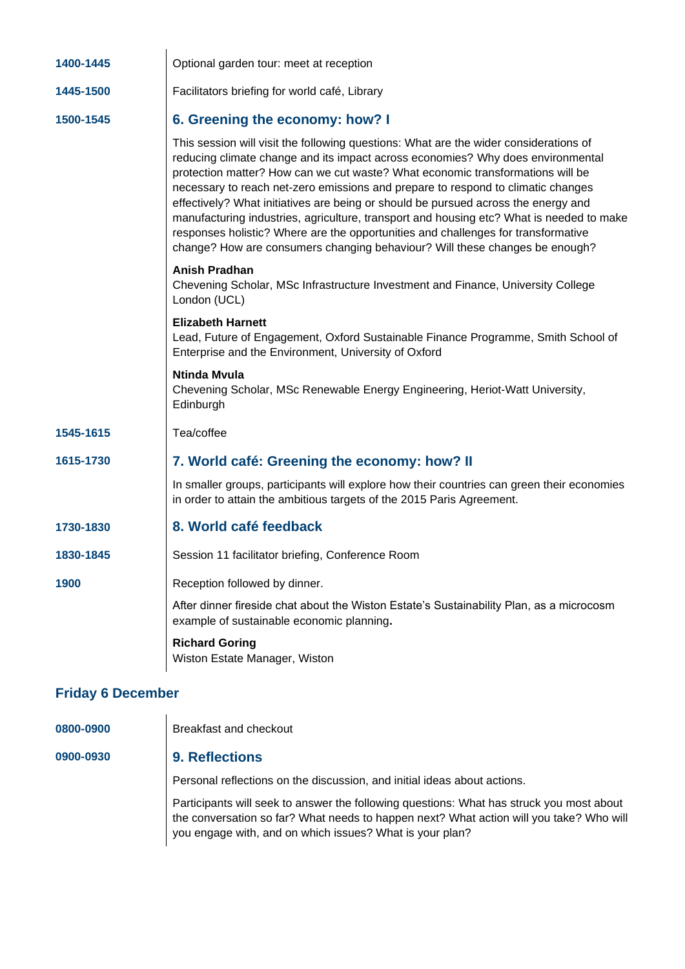| 1400-1445                | Optional garden tour: meet at reception                                                                                                                                                                                                                                                                                                                                                                                                                                                                                                                                                                                                                                                              |  |
|--------------------------|------------------------------------------------------------------------------------------------------------------------------------------------------------------------------------------------------------------------------------------------------------------------------------------------------------------------------------------------------------------------------------------------------------------------------------------------------------------------------------------------------------------------------------------------------------------------------------------------------------------------------------------------------------------------------------------------------|--|
| 1445-1500                | Facilitators briefing for world café, Library                                                                                                                                                                                                                                                                                                                                                                                                                                                                                                                                                                                                                                                        |  |
| 1500-1545                | 6. Greening the economy: how? I                                                                                                                                                                                                                                                                                                                                                                                                                                                                                                                                                                                                                                                                      |  |
|                          | This session will visit the following questions: What are the wider considerations of<br>reducing climate change and its impact across economies? Why does environmental<br>protection matter? How can we cut waste? What economic transformations will be<br>necessary to reach net-zero emissions and prepare to respond to climatic changes<br>effectively? What initiatives are being or should be pursued across the energy and<br>manufacturing industries, agriculture, transport and housing etc? What is needed to make<br>responses holistic? Where are the opportunities and challenges for transformative<br>change? How are consumers changing behaviour? Will these changes be enough? |  |
|                          | Anish Pradhan<br>Chevening Scholar, MSc Infrastructure Investment and Finance, University College<br>London (UCL)                                                                                                                                                                                                                                                                                                                                                                                                                                                                                                                                                                                    |  |
|                          | <b>Elizabeth Harnett</b><br>Lead, Future of Engagement, Oxford Sustainable Finance Programme, Smith School of<br>Enterprise and the Environment, University of Oxford                                                                                                                                                                                                                                                                                                                                                                                                                                                                                                                                |  |
|                          | <b>Ntinda Mvula</b><br>Chevening Scholar, MSc Renewable Energy Engineering, Heriot-Watt University,<br>Edinburgh                                                                                                                                                                                                                                                                                                                                                                                                                                                                                                                                                                                     |  |
| 1545-1615                | Tea/coffee                                                                                                                                                                                                                                                                                                                                                                                                                                                                                                                                                                                                                                                                                           |  |
| 1615-1730                | 7. World café: Greening the economy: how? II                                                                                                                                                                                                                                                                                                                                                                                                                                                                                                                                                                                                                                                         |  |
|                          | In smaller groups, participants will explore how their countries can green their economies<br>in order to attain the ambitious targets of the 2015 Paris Agreement.                                                                                                                                                                                                                                                                                                                                                                                                                                                                                                                                  |  |
| 1730-1830                | 8. World café feedback                                                                                                                                                                                                                                                                                                                                                                                                                                                                                                                                                                                                                                                                               |  |
| 1830-1845                | Session 11 facilitator briefing, Conference Room                                                                                                                                                                                                                                                                                                                                                                                                                                                                                                                                                                                                                                                     |  |
| 1900                     | Reception followed by dinner.                                                                                                                                                                                                                                                                                                                                                                                                                                                                                                                                                                                                                                                                        |  |
|                          | After dinner fireside chat about the Wiston Estate's Sustainability Plan, as a microcosm<br>example of sustainable economic planning.                                                                                                                                                                                                                                                                                                                                                                                                                                                                                                                                                                |  |
|                          | <b>Richard Goring</b><br>Wiston Estate Manager, Wiston                                                                                                                                                                                                                                                                                                                                                                                                                                                                                                                                                                                                                                               |  |
| <b>Friday 6 December</b> |                                                                                                                                                                                                                                                                                                                                                                                                                                                                                                                                                                                                                                                                                                      |  |

**0800-0900** Breakfast and checkout

### **0900-0930 9. Reflections**

Personal reflections on the discussion, and initial ideas about actions.

Participants will seek to answer the following questions: What has struck you most about the conversation so far? What needs to happen next? What action will you take? Who will you engage with, and on which issues? What is your plan?